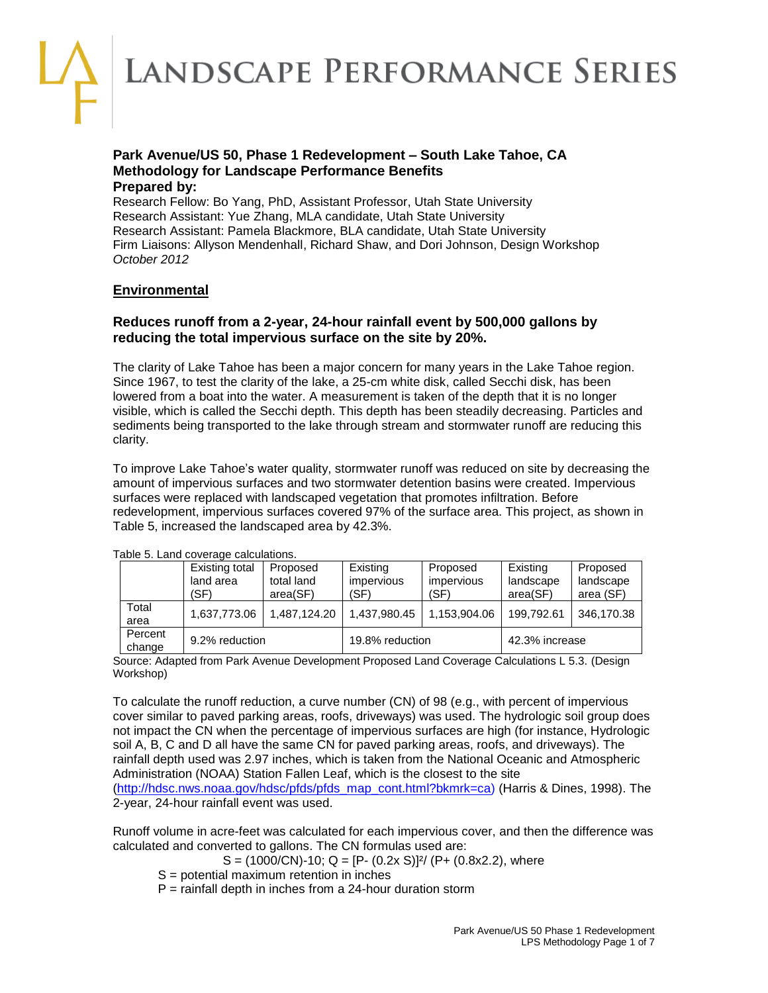LANDSCAPE PERFORMANCE SERIES

### **Park Avenue/US 50, Phase 1 Redevelopment – South Lake Tahoe, CA Methodology for Landscape Performance Benefits Prepared by:**

Research Fellow: Bo Yang, PhD, Assistant Professor, Utah State University Research Assistant: Yue Zhang, MLA candidate, Utah State University Research Assistant: Pamela Blackmore, BLA candidate, Utah State University Firm Liaisons: Allyson Mendenhall, Richard Shaw, and Dori Johnson, Design Workshop *October 2012*

# **Environmental**

# **Reduces runoff from a 2-year, 24-hour rainfall event by 500,000 gallons by reducing the total impervious surface on the site by 20%.**

The clarity of Lake Tahoe has been a major concern for many years in the Lake Tahoe region. Since 1967, to test the clarity of the lake, a 25-cm white disk, called Secchi disk, has been lowered from a boat into the water. A measurement is taken of the depth that it is no longer visible, which is called the Secchi depth. This depth has been steadily decreasing. Particles and sediments being transported to the lake through stream and stormwater runoff are reducing this clarity.

To improve Lake Tahoe's water quality, stormwater runoff was reduced on site by decreasing the amount of impervious surfaces and two stormwater detention basins were created. Impervious surfaces were replaced with landscaped vegetation that promotes infiltration. Before redevelopment, impervious surfaces covered 97% of the surface area. This project, as shown in Table 5, increased the landscaped area by 42.3%.

| rable J. Lanu coverage calculations. |                                     |                                    |                                       |                                       |                                   |                                    |  |
|--------------------------------------|-------------------------------------|------------------------------------|---------------------------------------|---------------------------------------|-----------------------------------|------------------------------------|--|
|                                      | Existing total<br>land area<br>(SF) | Proposed<br>total land<br>area(SF) | Existing<br><i>impervious</i><br>(SF) | Proposed<br><i>impervious</i><br>(SF) | Existing<br>landscape<br>area(SF) | Proposed<br>landscape<br>area (SF) |  |
| Total<br>area                        | 1.637.773.06                        | 1.487.124.20                       | 1.437.980.45                          | 1.153.904.06                          | 199.792.61                        | 346.170.38                         |  |
| Percent<br>change                    |                                     | 9.2% reduction                     |                                       | 19.8% reduction                       | 42.3% increase                    |                                    |  |

Table 5. Land coverage calculations.

Source: Adapted from Park Avenue Development Proposed Land Coverage Calculations L 5.3. (Design Workshop)

To calculate the runoff reduction, a curve number (CN) of 98 (e.g., with percent of impervious cover similar to paved parking areas, roofs, driveways) was used. The hydrologic soil group does not impact the CN when the percentage of impervious surfaces are high (for instance, Hydrologic soil A, B, C and D all have the same CN for paved parking areas, roofs, and driveways). The rainfall depth used was 2.97 inches, which is taken from the National Oceanic and Atmospheric Administration (NOAA) Station Fallen Leaf, which is the closest to the site [\(http://hdsc.nws.noaa.gov/hdsc/pfds/pfds\\_map\\_cont.html?bkmrk=ca\)](http://hdsc.nws.noaa.gov/hdsc/pfds/pfds_map_cont.html?bkmrk=ca) (Harris & Dines, 1998). The

2-year, 24-hour rainfall event was used.

Runoff volume in acre-feet was calculated for each impervious cover, and then the difference was calculated and converted to gallons. The CN formulas used are:

 $S = (1000/CN) - 10$ ; Q = [P- (0.2x S)]<sup>2</sup>/ (P+ (0.8x2.2), where

- S = potential maximum retention in inches
- $P =$  rainfall depth in inches from a 24-hour duration storm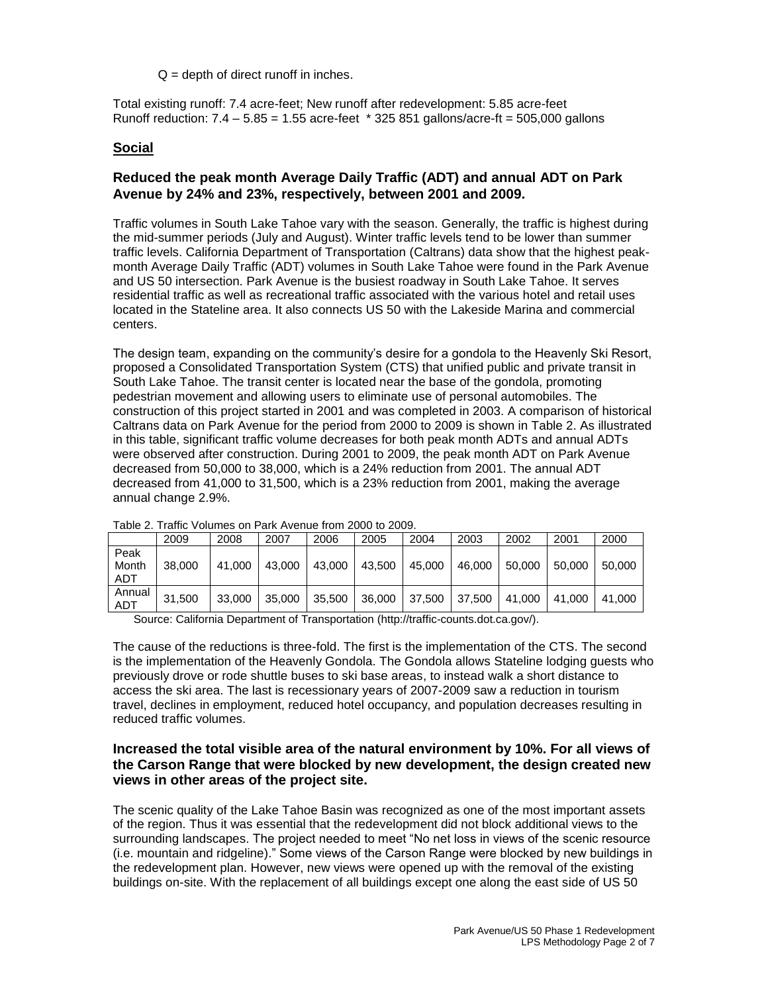$Q =$  depth of direct runoff in inches.

Total existing runoff: 7.4 acre-feet; New runoff after redevelopment: 5.85 acre-feet Runoff reduction:  $7.4 - 5.85 = 1.55$  acre-feet  $*$  325 851 gallons/acre-ft = 505,000 gallons

### **Social**

# **Reduced the peak month Average Daily Traffic (ADT) and annual ADT on Park Avenue by 24% and 23%, respectively, between 2001 and 2009.**

Traffic volumes in South Lake Tahoe vary with the season. Generally, the traffic is highest during the mid-summer periods (July and August). Winter traffic levels tend to be lower than summer traffic levels. California Department of Transportation (Caltrans) data show that the highest peakmonth Average Daily Traffic (ADT) volumes in South Lake Tahoe were found in the Park Avenue and US 50 intersection. Park Avenue is the busiest roadway in South Lake Tahoe. It serves residential traffic as well as recreational traffic associated with the various hotel and retail uses located in the Stateline area. It also connects US 50 with the Lakeside Marina and commercial centers.

The design team, expanding on the community's desire for a gondola to the Heavenly Ski Resort, proposed a Consolidated Transportation System (CTS) that unified public and private transit in South Lake Tahoe. The transit center is located near the base of the gondola, promoting pedestrian movement and allowing users to eliminate use of personal automobiles. The construction of this project started in 2001 and was completed in 2003. A comparison of historical Caltrans data on Park Avenue for the period from 2000 to 2009 is shown in Table 2. As illustrated in this table, significant traffic volume decreases for both peak month ADTs and annual ADTs were observed after construction. During 2001 to 2009, the peak month ADT on Park Avenue decreased from 50,000 to 38,000, which is a 24% reduction from 2001. The annual ADT decreased from 41,000 to 31,500, which is a 23% reduction from 2001, making the average annual change 2.9%.

|                      | 2009   | 2008   | 2007   | 2006   | 2005   | 2004   | 2003   | 2002   | 2001   | 2000   |
|----------------------|--------|--------|--------|--------|--------|--------|--------|--------|--------|--------|
| Peak<br>Month<br>ADT | 38,000 | 41.000 | 43,000 | 43,000 | 43,500 | 45,000 | 46,000 | 50,000 | 50.000 | 50,000 |
| Annual<br>ADT        | 31.500 | 33,000 | 35,000 | 35,500 | 36,000 | 37,500 | 37,500 | 41.000 | 41.000 | 41.000 |

Table 2. Traffic Volumes on Park Avenue from 2000 to 2009.

Source: California Department of Transportation [\(http://traffic-counts.dot.ca.gov/\)](http://traffic-counts.dot.ca.gov/).

The cause of the reductions is three-fold. The first is the implementation of the CTS. The second is the implementation of the Heavenly Gondola. The Gondola allows Stateline lodging guests who previously drove or rode shuttle buses to ski base areas, to instead walk a short distance to access the ski area. The last is recessionary years of 2007-2009 saw a reduction in tourism travel, declines in employment, reduced hotel occupancy, and population decreases resulting in reduced traffic volumes.

### **Increased the total visible area of the natural environment by 10%. For all views of the Carson Range that were blocked by new development, the design created new views in other areas of the project site.**

The scenic quality of the Lake Tahoe Basin was recognized as one of the most important assets of the region. Thus it was essential that the redevelopment did not block additional views to the surrounding landscapes. The project needed to meet "No net loss in views of the scenic resource (i.e. mountain and ridgeline)." Some views of the Carson Range were blocked by new buildings in the redevelopment plan. However, new views were opened up with the removal of the existing buildings on-site. With the replacement of all buildings except one along the east side of US 50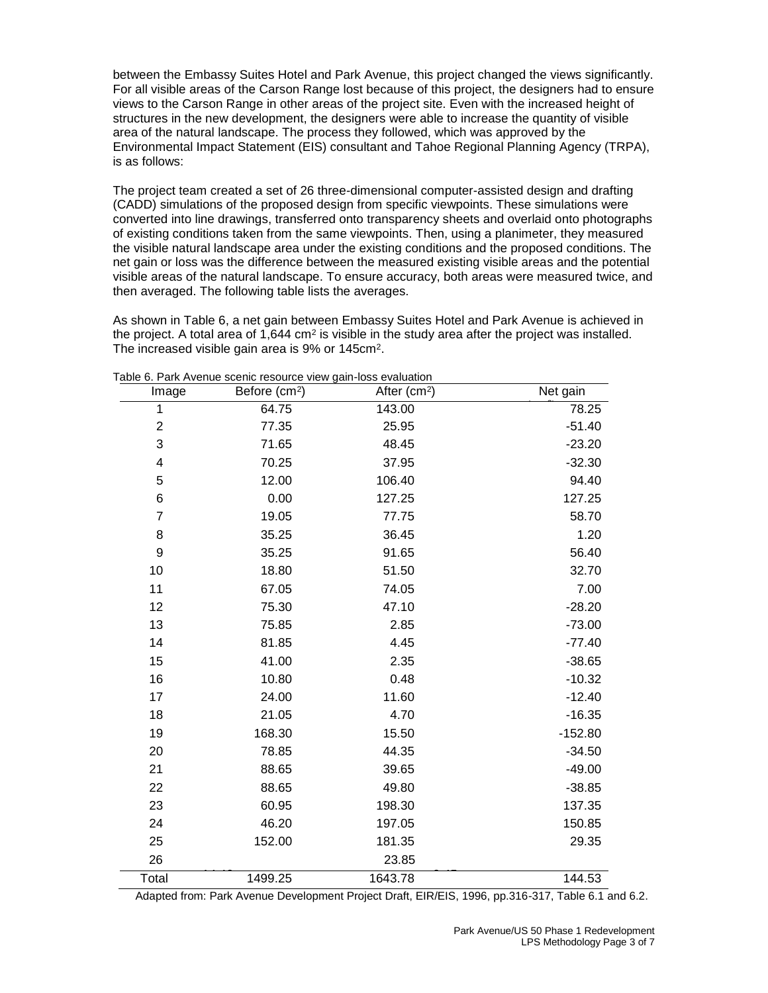between the Embassy Suites Hotel and Park Avenue, this project changed the views significantly. For all visible areas of the Carson Range lost because of this project, the designers had to ensure views to the Carson Range in other areas of the project site. Even with the increased height of structures in the new development, the designers were able to increase the quantity of visible area of the natural landscape. The process they followed, which was approved by the Environmental Impact Statement (EIS) consultant and Tahoe Regional Planning Agency (TRPA), is as follows:

The project team created a set of 26 three-dimensional computer-assisted design and drafting (CADD) simulations of the proposed design from specific viewpoints. These simulations were converted into line drawings, transferred onto transparency sheets and overlaid onto photographs of existing conditions taken from the same viewpoints. Then, using a planimeter, they measured the visible natural landscape area under the existing conditions and the proposed conditions. The net gain or loss was the difference between the measured existing visible areas and the potential visible areas of the natural landscape. To ensure accuracy, both areas were measured twice, and then averaged. The following table lists the averages.

As shown in Table 6, a net gain between Embassy Suites Hotel and Park Avenue is achieved in the project. A total area of 1,644 cm<sup>2</sup> is visible in the study area after the project was installed. The increased visible gain area is 9% or 145cm<sup>2</sup>.

| Image                   | Before (cm <sup>2</sup> ) | After (cm <sup>2</sup> ) | Net gain  |
|-------------------------|---------------------------|--------------------------|-----------|
| 1                       | 64.75                     | 143.00                   | 78.25     |
| $\overline{\mathbf{c}}$ | 77.35                     | 25.95                    | $-51.40$  |
| 3                       | 71.65                     | 48.45                    | $-23.20$  |
| $\overline{\mathbf{4}}$ | 70.25                     | 37.95                    | $-32.30$  |
| 5                       | 12.00                     | 106.40                   | 94.40     |
| $\,6$                   | 0.00                      | 127.25                   | 127.25    |
| $\overline{7}$          | 19.05                     | 77.75                    | 58.70     |
| 8                       | 35.25                     | 36.45                    | 1.20      |
| $9$                     | 35.25                     | 91.65                    | 56.40     |
| 10                      | 18.80                     | 51.50                    | 32.70     |
| 11                      | 67.05                     | 74.05                    | 7.00      |
| 12                      | 75.30                     | 47.10                    | $-28.20$  |
| 13                      | 75.85                     | 2.85                     | $-73.00$  |
| 14                      | 81.85                     | 4.45                     | $-77.40$  |
| 15                      | 41.00                     | 2.35                     | $-38.65$  |
| 16                      | 10.80                     | 0.48                     | $-10.32$  |
| 17                      | 24.00                     | 11.60                    | $-12.40$  |
| 18                      | 21.05                     | 4.70                     | $-16.35$  |
| 19                      | 168.30                    | 15.50                    | $-152.80$ |
| 20                      | 78.85                     | 44.35                    | $-34.50$  |
| 21                      | 88.65                     | 39.65                    | $-49.00$  |
| 22                      | 88.65                     | 49.80                    | $-38.85$  |
| 23                      | 60.95                     | 198.30                   | 137.35    |
| 24                      | 46.20                     | 197.05                   | 150.85    |
| 25                      | 152.00                    | 181.35                   | 29.35     |
| 26                      |                           | 23.85                    |           |
| Total                   | 1499.25                   | 1643.78                  | 144.53    |

Table 6. Park Avenue scenic resource view gain-loss evaluation

Adapted from: Park Avenue Development Project Draft, EIR/EIS, 1996, pp.316-317, Table 6.1 and 6.2.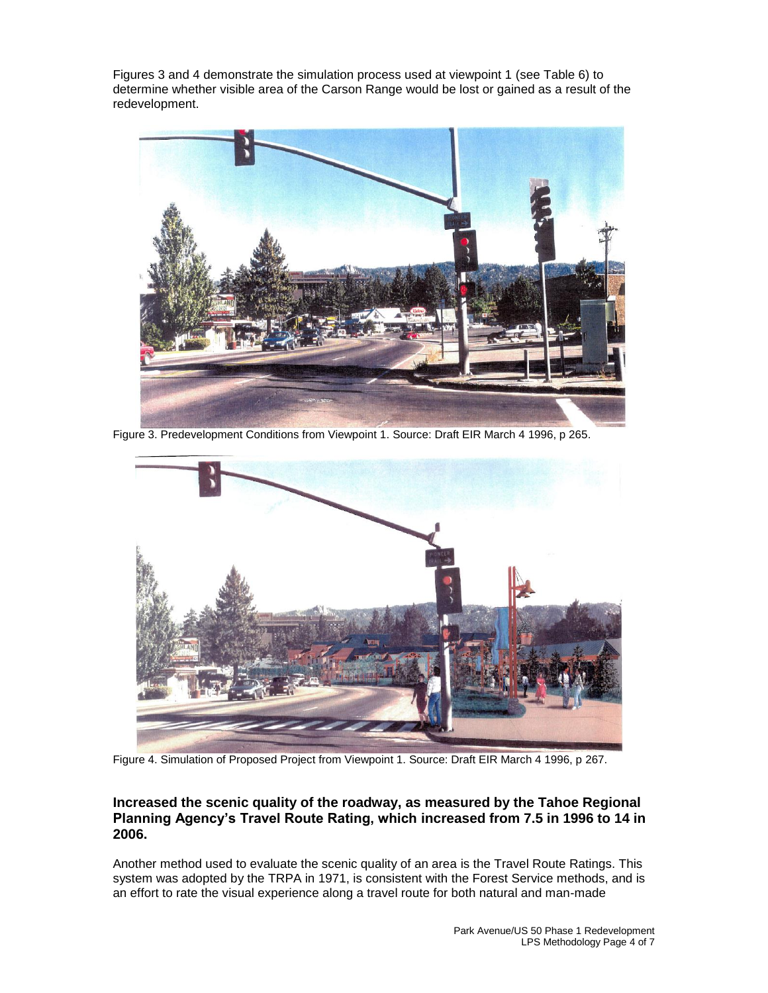Figures 3 and 4 demonstrate the simulation process used at viewpoint 1 (see Table 6) to determine whether visible area of the Carson Range would be lost or gained as a result of the redevelopment.



Figure 3. Predevelopment Conditions from Viewpoint 1. Source: Draft EIR March 4 1996, p 265.



Figure 4. Simulation of Proposed Project from Viewpoint 1. Source: Draft EIR March 4 1996, p 267.

### **Increased the scenic quality of the roadway, as measured by the Tahoe Regional Planning Agency's Travel Route Rating, which increased from 7.5 in 1996 to 14 in 2006.**

Another method used to evaluate the scenic quality of an area is the Travel Route Ratings. This system was adopted by the TRPA in 1971, is consistent with the Forest Service methods, and is an effort to rate the visual experience along a travel route for both natural and man-made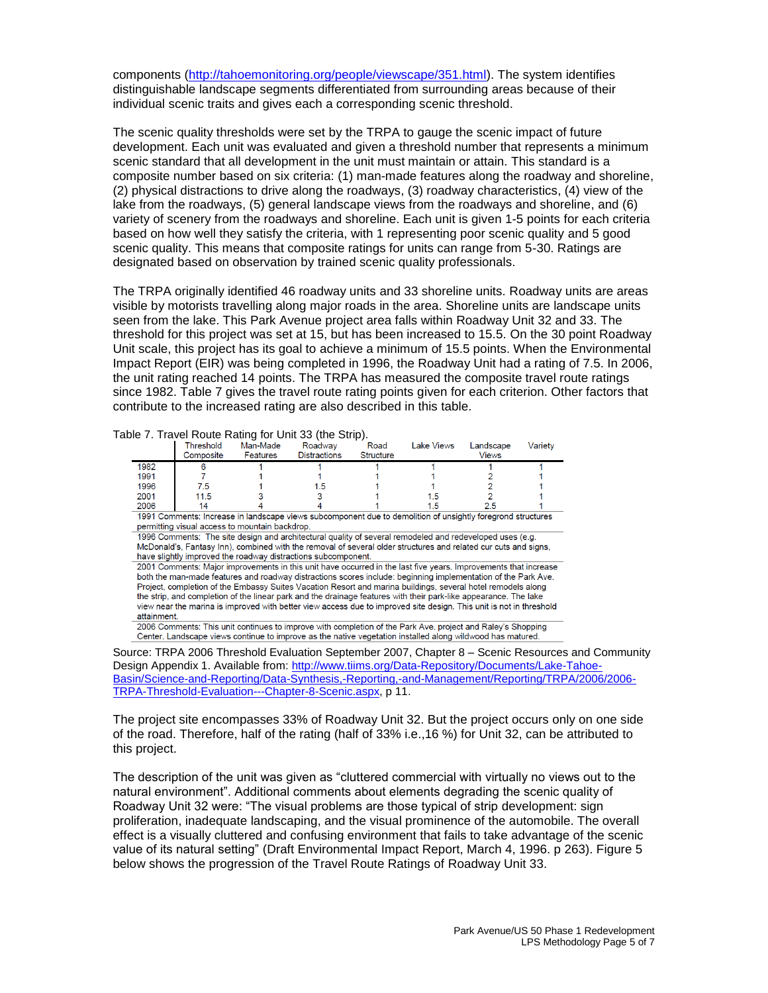components [\(http://tahoemonitoring.org/people/viewscape/351.html\)](http://tahoemonitoring.org/people/viewscape/351.html). The system identifies distinguishable landscape segments differentiated from surrounding areas because of their individual scenic traits and gives each a corresponding scenic threshold.

The scenic quality thresholds were set by the TRPA to gauge the scenic impact of future development. Each unit was evaluated and given a threshold number that represents a minimum scenic standard that all development in the unit must maintain or attain. This standard is a composite number based on six criteria: (1) man-made features along the roadway and shoreline, (2) physical distractions to drive along the roadways, (3) roadway characteristics, (4) view of the lake from the roadways, (5) general landscape views from the roadways and shoreline, and (6) variety of scenery from the roadways and shoreline. Each unit is given 1-5 points for each criteria based on how well they satisfy the criteria, with 1 representing poor scenic quality and 5 good scenic quality. This means that composite ratings for units can range from 5-30. Ratings are designated based on observation by trained scenic quality professionals.

The TRPA originally identified 46 roadway units and 33 shoreline units. Roadway units are areas visible by motorists travelling along major roads in the area. Shoreline units are landscape units seen from the lake. This Park Avenue project area falls within Roadway Unit 32 and 33. The threshold for this project was set at 15, but has been increased to 15.5. On the 30 point Roadway Unit scale, this project has its goal to achieve a minimum of 15.5 points. When the Environmental Impact Report (EIR) was being completed in 1996, the Roadway Unit had a rating of 7.5. In 2006, the unit rating reached 14 points. The TRPA has measured the composite travel route ratings since 1982. Table 7 gives the travel route rating points given for each criterion. Other factors that contribute to the increased rating are also described in this table.

|             |                                                |                             | Table 7. Travel Route Rating for Unit 33 (the Strip).                                                                                                                                                                                                                                                                                                                                                                                                                                                                                                                                       |                          |            |                           |         |
|-------------|------------------------------------------------|-----------------------------|---------------------------------------------------------------------------------------------------------------------------------------------------------------------------------------------------------------------------------------------------------------------------------------------------------------------------------------------------------------------------------------------------------------------------------------------------------------------------------------------------------------------------------------------------------------------------------------------|--------------------------|------------|---------------------------|---------|
|             | Threshold<br>Composite                         | Man-Made<br><b>Features</b> | Roadway<br><b>Distractions</b>                                                                                                                                                                                                                                                                                                                                                                                                                                                                                                                                                              | Road<br><b>Structure</b> | Lake Views | Landscape<br><b>Views</b> | Variety |
| 1982        | R                                              |                             |                                                                                                                                                                                                                                                                                                                                                                                                                                                                                                                                                                                             |                          |            |                           |         |
| 1991        |                                                |                             |                                                                                                                                                                                                                                                                                                                                                                                                                                                                                                                                                                                             |                          |            |                           |         |
| 1996        | 7.5                                            |                             |                                                                                                                                                                                                                                                                                                                                                                                                                                                                                                                                                                                             |                          |            |                           |         |
| 2001        | 11.5                                           |                             |                                                                                                                                                                                                                                                                                                                                                                                                                                                                                                                                                                                             |                          | 1.5        |                           |         |
| 2006        | 14                                             |                             |                                                                                                                                                                                                                                                                                                                                                                                                                                                                                                                                                                                             |                          | 1.5        | 2.5                       |         |
|             | permitting visual access to mountain backdrop. |                             | 1996 Comments: The site design and architectural quality of several remodeled and redeveloped uses (e.g.<br>McDonald's, Fantasy Inn), combined with the removal of several older structures and related cur cuts and signs,<br>have slightly improved the roadway distractions subcomponent.                                                                                                                                                                                                                                                                                                |                          |            |                           |         |
| attainment. |                                                |                             | 2001 Comments: Major improvements in this unit have occurred in the last five years. Improvements that increase<br>both the man-made features and roadway distractions scores include: beginning implementation of the Park Ave.<br>Project, completion of the Embassy Suites Vacation Resort and marina buildings, several hotel remodels along<br>the strip, and completion of the linear park and the drainage features with their park-like appearance. The lake<br>view near the marina is improved with better view access due to improved site design. This unit is not in threshold |                          |            |                           |         |
|             |                                                |                             | 2006 Comments: This unit continues to improve with completion of the Park Ave. project and Raley's Shopping<br>Center. Landscape views continue to improve as the native vegetation installed along wildwood has matured.                                                                                                                                                                                                                                                                                                                                                                   |                          |            |                           |         |

Source: TRPA 2006 Threshold Evaluation September 2007, Chapter 8 – Scenic Resources and Community Design Appendix 1. Available from[: http://www.tiims.org/Data-Repository/Documents/Lake-Tahoe-](http://www.tiims.org/Data-Repository/Documents/Lake-Tahoe-Basin/Science-and-Reporting/Data-Synthesis,-Reporting,-and-Management/Reporting/TRPA/2006/2006-TRPA-Threshold-Evaluation---Chapter-8-Scenic.aspx)[Basin/Science-and-Reporting/Data-Synthesis,-Reporting,-and-Management/Reporting/TRPA/2006/2006-](http://www.tiims.org/Data-Repository/Documents/Lake-Tahoe-Basin/Science-and-Reporting/Data-Synthesis,-Reporting,-and-Management/Reporting/TRPA/2006/2006-TRPA-Threshold-Evaluation---Chapter-8-Scenic.aspx) [TRPA-Threshold-Evaluation---Chapter-8-Scenic.aspx,](http://www.tiims.org/Data-Repository/Documents/Lake-Tahoe-Basin/Science-and-Reporting/Data-Synthesis,-Reporting,-and-Management/Reporting/TRPA/2006/2006-TRPA-Threshold-Evaluation---Chapter-8-Scenic.aspx) p 11.

The project site encompasses 33% of Roadway Unit 32. But the project occurs only on one side of the road. Therefore, half of the rating (half of 33% i.e.,16 %) for Unit 32, can be attributed to this project.

The description of the unit was given as "cluttered commercial with virtually no views out to the natural environment". Additional comments about elements degrading the scenic quality of Roadway Unit 32 were: "The visual problems are those typical of strip development: sign proliferation, inadequate landscaping, and the visual prominence of the automobile. The overall effect is a visually cluttered and confusing environment that fails to take advantage of the scenic value of its natural setting" (Draft Environmental Impact Report, March 4, 1996. p 263). Figure 5 below shows the progression of the Travel Route Ratings of Roadway Unit 33.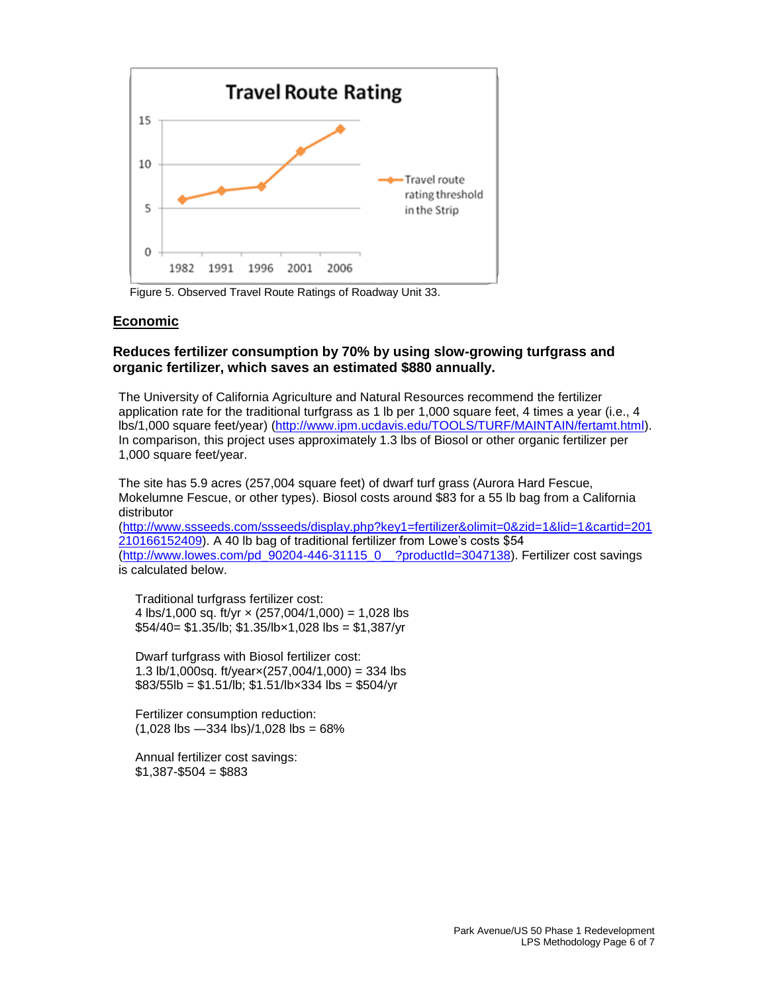

Figure 5. Observed Travel Route Ratings of Roadway Unit 33.

#### **Economic**

### **Reduces fertilizer consumption by 70% by using slow-growing turfgrass and organic fertilizer, which saves an estimated \$880 annually.**

The University of California Agriculture and Natural Resources recommend the fertilizer application rate for the traditional turfgrass as 1 lb per 1,000 square feet, 4 times a year (i.e., 4 lbs/1,000 square feet/year) [\(http://www.ipm.ucdavis.edu/TOOLS/TURF/MAINTAIN/fertamt.html\)](http://www.ipm.ucdavis.edu/TOOLS/TURF/MAINTAIN/fertamt.html). In comparison, this project uses approximately 1.3 lbs of Biosol or other organic fertilizer per 1,000 square feet/year.

The site has 5.9 acres (257,004 square feet) of dwarf turf grass (Aurora Hard Fescue, Mokelumne Fescue, or other types). Biosol costs around \$83 for a 55 lb bag from a California distributor

[\(http://www.ssseeds.com/ssseeds/display.php?key1=fertilizer&olimit=0&zid=1&lid=1&cartid=201](http://www.ssseeds.com/ssseeds/display.php?key1=fertilizer&olimit=0&zid=1&lid=1&cartid=201210166152409) [210166152409\)](http://www.ssseeds.com/ssseeds/display.php?key1=fertilizer&olimit=0&zid=1&lid=1&cartid=201210166152409). A 40 lb bag of traditional fertilizer from Lowe's costs \$54 [\(http://www.lowes.com/pd\\_90204-446-31115\\_0\\_\\_?productId=3047138\)](http://www.lowes.com/pd_90204-446-31115_0__?productId=3047138). Fertilizer cost savings is calculated below.

Traditional turfgrass fertilizer cost: 4 lbs/1,000 sq. ft/yr  $\times$  (257,004/1,000) = 1,028 lbs  $$54/40 = $1.35/lb; $1.35/lb \times 1,028 lbs = $1,387/yr$ 

Dwarf turfgrass with Biosol fertilizer cost: 1.3 lb/1,000sq. ft/year $\times$ (257,004/1,000) = 334 lbs  $$83/55$ lb = \$1.51/lb; \$1.51/lb×334 lbs = \$504/yr

Fertilizer consumption reduction:  $(1,028$  lbs  $-334$  lbs $)/1,028$  lbs = 68%

Annual fertilizer cost savings:  $$1,387 - $504 = $883$